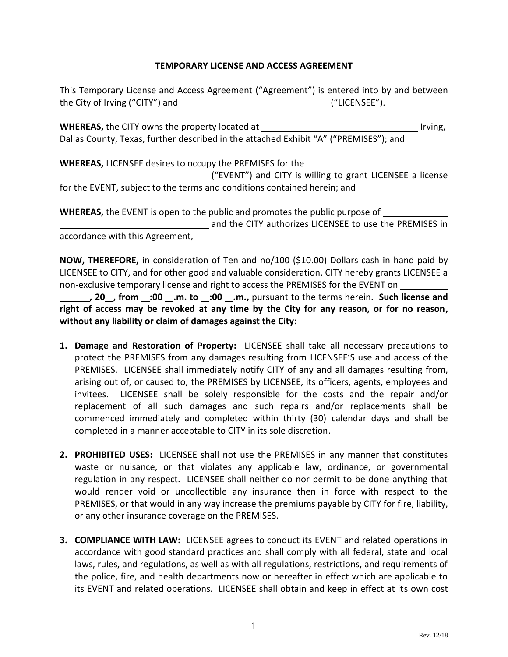#### **TEMPORARY LICENSE AND ACCESS AGREEMENT**

This Temporary License and Access Agreement ("Agreement") is entered into by and between the City of Irving ("CITY") and  $($ "LICENSEE").

**WHEREAS,** the CITY owns the property located at Irving, Dallas County, Texas, further described in the attached Exhibit "A" ("PREMISES"); and

**WHEREAS,** LICENSEE desires to occupy the PREMISES for the ("EVENT") and CITY is willing to grant LICENSEE a license for the EVENT, subject to the terms and conditions contained herein; and

**WHEREAS,** the EVENT is open to the public and promotes the public purpose of and the CITY authorizes LICENSEE to use the PREMISES in accordance with this Agreement,

**NOW, THEREFORE,** in consideration of Ten and no/100 (\$10.00) Dollars cash in hand paid by LICENSEE to CITY, and for other good and valuable consideration, CITY hereby grants LICENSEE a non-exclusive temporary license and right to access the PREMISES for the EVENT on

**, 20 , from :00 .m. to :00 .m.,** pursuant to the terms herein. **Such license and right of access may be revoked at any time by the City for any reason, or for no reason, without any liability or claim of damages against the City:**

- **1. Damage and Restoration of Property:** LICENSEE shall take all necessary precautions to protect the PREMISES from any damages resulting from LICENSEE'S use and access of the PREMISES. LICENSEE shall immediately notify CITY of any and all damages resulting from, arising out of, or caused to, the PREMISES by LICENSEE, its officers, agents, employees and invitees. LICENSEE shall be solely responsible for the costs and the repair and/or replacement of all such damages and such repairs and/or replacements shall be commenced immediately and completed within thirty (30) calendar days and shall be completed in a manner acceptable to CITY in its sole discretion.
- **2. PROHIBITED USES:** LICENSEE shall not use the PREMISES in any manner that constitutes waste or nuisance, or that violates any applicable law, ordinance, or governmental regulation in any respect. LICENSEE shall neither do nor permit to be done anything that would render void or uncollectible any insurance then in force with respect to the PREMISES, or that would in any way increase the premiums payable by CITY for fire, liability, or any other insurance coverage on the PREMISES.
- **3. COMPLIANCE WITH LAW:** LICENSEE agrees to conduct its EVENT and related operations in accordance with good standard practices and shall comply with all federal, state and local laws, rules, and regulations, as well as with all regulations, restrictions, and requirements of the police, fire, and health departments now or hereafter in effect which are applicable to its EVENT and related operations. LICENSEE shall obtain and keep in effect at its own cost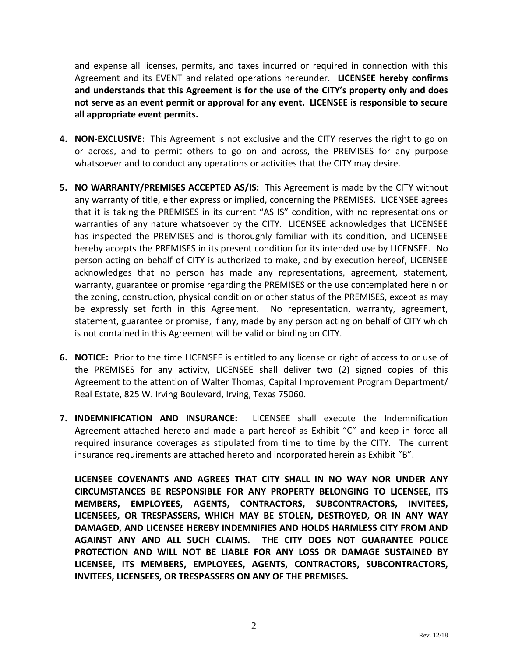and expense all licenses, permits, and taxes incurred or required in connection with this Agreement and its EVENT and related operations hereunder. **LICENSEE hereby confirms and understands that this Agreement is for the use of the CITY's property only and does not serve as an event permit or approval for any event. LICENSEE is responsible to secure all appropriate event permits.** 

- **4. NON-EXCLUSIVE:** This Agreement is not exclusive and the CITY reserves the right to go on or across, and to permit others to go on and across, the PREMISES for any purpose whatsoever and to conduct any operations or activities that the CITY may desire.
- **5. NO WARRANTY/PREMISES ACCEPTED AS/IS:** This Agreement is made by the CITY without any warranty of title, either express or implied, concerning the PREMISES. LICENSEE agrees that it is taking the PREMISES in its current "AS IS" condition, with no representations or warranties of any nature whatsoever by the CITY. LICENSEE acknowledges that LICENSEE has inspected the PREMISES and is thoroughly familiar with its condition, and LICENSEE hereby accepts the PREMISES in its present condition for its intended use by LICENSEE. No person acting on behalf of CITY is authorized to make, and by execution hereof, LICENSEE acknowledges that no person has made any representations, agreement, statement, warranty, guarantee or promise regarding the PREMISES or the use contemplated herein or the zoning, construction, physical condition or other status of the PREMISES, except as may be expressly set forth in this Agreement. No representation, warranty, agreement, statement, guarantee or promise, if any, made by any person acting on behalf of CITY which is not contained in this Agreement will be valid or binding on CITY.
- **6. NOTICE:** Prior to the time LICENSEE is entitled to any license or right of access to or use of the PREMISES for any activity, LICENSEE shall deliver two (2) signed copies of this Agreement to the attention of Walter Thomas, Capital Improvement Program Department/ Real Estate, 825 W. Irving Boulevard, Irving, Texas 75060.
- **7. INDEMNIFICATION AND INSURANCE:** LICENSEE shall execute the Indemnification Agreement attached hereto and made a part hereof as Exhibit "C" and keep in force all required insurance coverages as stipulated from time to time by the CITY. The current insurance requirements are attached hereto and incorporated herein as Exhibit "B".

**LICENSEE COVENANTS AND AGREES THAT CITY SHALL IN NO WAY NOR UNDER ANY CIRCUMSTANCES BE RESPONSIBLE FOR ANY PROPERTY BELONGING TO LICENSEE, ITS MEMBERS, EMPLOYEES, AGENTS, CONTRACTORS, SUBCONTRACTORS, INVITEES, LICENSEES, OR TRESPASSERS, WHICH MAY BE STOLEN, DESTROYED, OR IN ANY WAY DAMAGED, AND LICENSEE HEREBY INDEMNIFIES AND HOLDS HARMLESS CITY FROM AND AGAINST ANY AND ALL SUCH CLAIMS. THE CITY DOES NOT GUARANTEE POLICE PROTECTION AND WILL NOT BE LIABLE FOR ANY LOSS OR DAMAGE SUSTAINED BY LICENSEE, ITS MEMBERS, EMPLOYEES, AGENTS, CONTRACTORS, SUBCONTRACTORS, INVITEES, LICENSEES, OR TRESPASSERS ON ANY OF THE PREMISES.**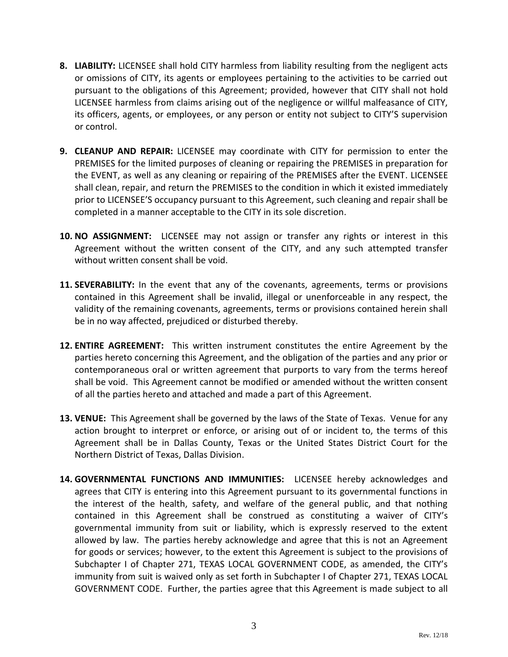- **8. LIABILITY:** LICENSEE shall hold CITY harmless from liability resulting from the negligent acts or omissions of CITY, its agents or employees pertaining to the activities to be carried out pursuant to the obligations of this Agreement; provided, however that CITY shall not hold LICENSEE harmless from claims arising out of the negligence or willful malfeasance of CITY, its officers, agents, or employees, or any person or entity not subject to CITY'S supervision or control.
- **9. CLEANUP AND REPAIR:** LICENSEE may coordinate with CITY for permission to enter the PREMISES for the limited purposes of cleaning or repairing the PREMISES in preparation for the EVENT, as well as any cleaning or repairing of the PREMISES after the EVENT. LICENSEE shall clean, repair, and return the PREMISES to the condition in which it existed immediately prior to LICENSEE'S occupancy pursuant to this Agreement, such cleaning and repair shall be completed in a manner acceptable to the CITY in its sole discretion.
- **10. NO ASSIGNMENT:** LICENSEE may not assign or transfer any rights or interest in this Agreement without the written consent of the CITY, and any such attempted transfer without written consent shall be void.
- **11. SEVERABILITY:** In the event that any of the covenants, agreements, terms or provisions contained in this Agreement shall be invalid, illegal or unenforceable in any respect, the validity of the remaining covenants, agreements, terms or provisions contained herein shall be in no way affected, prejudiced or disturbed thereby.
- **12. ENTIRE AGREEMENT:** This written instrument constitutes the entire Agreement by the parties hereto concerning this Agreement, and the obligation of the parties and any prior or contemporaneous oral or written agreement that purports to vary from the terms hereof shall be void. This Agreement cannot be modified or amended without the written consent of all the parties hereto and attached and made a part of this Agreement.
- **13. VENUE:** This Agreement shall be governed by the laws of the State of Texas. Venue for any action brought to interpret or enforce, or arising out of or incident to, the terms of this Agreement shall be in Dallas County, Texas or the United States District Court for the Northern District of Texas, Dallas Division.
- **14. GOVERNMENTAL FUNCTIONS AND IMMUNITIES:** LICENSEE hereby acknowledges and agrees that CITY is entering into this Agreement pursuant to its governmental functions in the interest of the health, safety, and welfare of the general public, and that nothing contained in this Agreement shall be construed as constituting a waiver of CITY's governmental immunity from suit or liability, which is expressly reserved to the extent allowed by law. The parties hereby acknowledge and agree that this is not an Agreement for goods or services; however, to the extent this Agreement is subject to the provisions of Subchapter I of Chapter 271, TEXAS LOCAL GOVERNMENT CODE, as amended, the CITY's immunity from suit is waived only as set forth in Subchapter I of Chapter 271, TEXAS LOCAL GOVERNMENT CODE. Further, the parties agree that this Agreement is made subject to all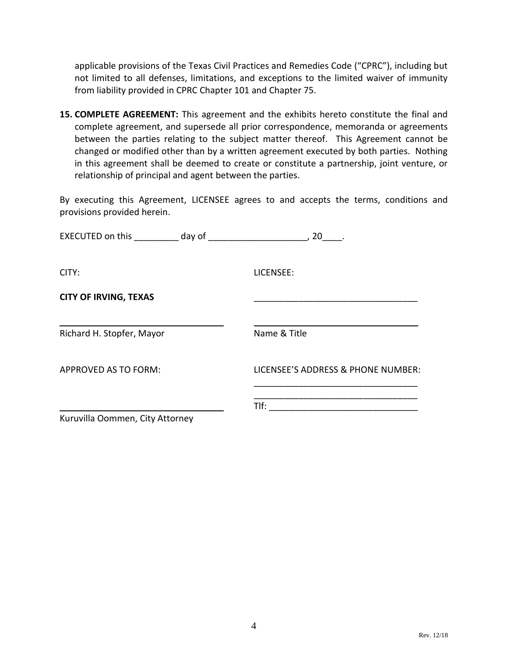applicable provisions of the Texas Civil Practices and Remedies Code ("CPRC"), including but not limited to all defenses, limitations, and exceptions to the limited waiver of immunity from liability provided in CPRC Chapter 101 and Chapter 75.

**15. COMPLETE AGREEMENT:** This agreement and the exhibits hereto constitute the final and complete agreement, and supersede all prior correspondence, memoranda or agreements between the parties relating to the subject matter thereof. This Agreement cannot be changed or modified other than by a written agreement executed by both parties. Nothing in this agreement shall be deemed to create or constitute a partnership, joint venture, or relationship of principal and agent between the parties.

By executing this Agreement, LICENSEE agrees to and accepts the terms, conditions and provisions provided herein.

| EXECUTED on this day of         | , 20                               |
|---------------------------------|------------------------------------|
| CITY:                           | LICENSEE:                          |
| <b>CITY OF IRVING, TEXAS</b>    |                                    |
| Richard H. Stopfer, Mayor       | Name & Title                       |
| APPROVED AS TO FORM:            | LICENSEE'S ADDRESS & PHONE NUMBER: |
| Kuruvilla Oommen, City Attorney | Tlf:                               |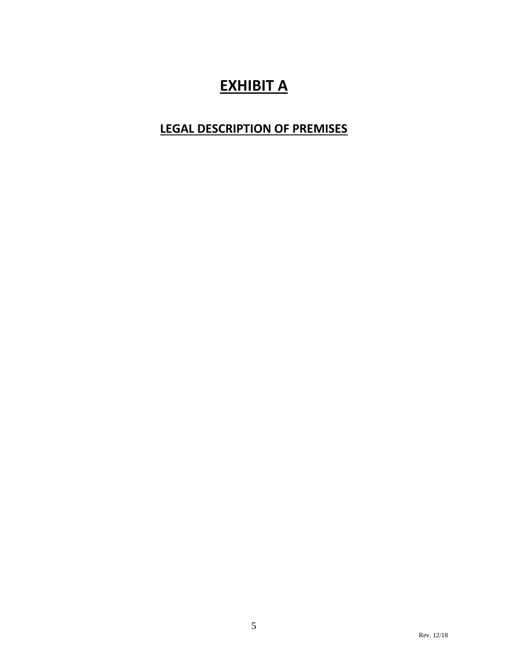# **EXHIBIT A**

## **LEGAL DESCRIPTION OF PREMISES**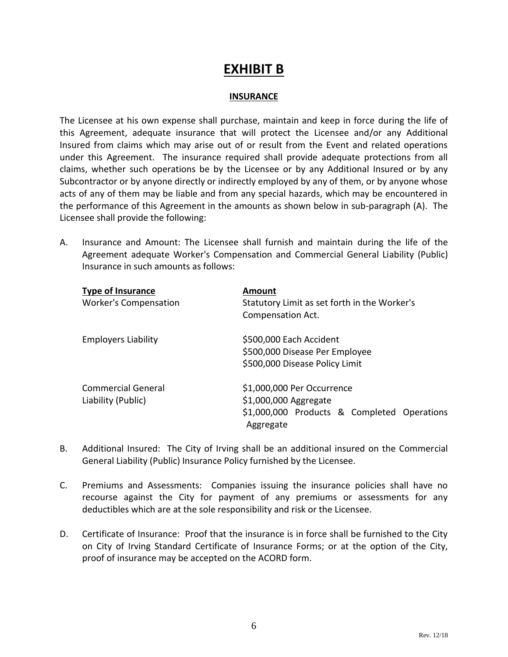### **EXHIBIT B**

#### **INSURANCE**

The Licensee at his own expense shall purchase, maintain and keep in force during the life of this Agreement, adequate insurance that will protect the Licensee and/or any Additional Insured from claims which may arise out of or result from the Event and related operations under this Agreement. The insurance required shall provide adequate protections from all claims, whether such operations be by the Licensee or by any Additional Insured or by any Subcontractor or by anyone directly or indirectly employed by any of them, or by anyone whose acts of any of them may be liable and from any special hazards, which may be encountered in the performance of this Agreement in the amounts as shown below in sub-paragraph (A). The Licensee shall provide the following:

A. Insurance and Amount: The Licensee shall furnish and maintain during the life of the Agreement adequate Worker's Compensation and Commercial General Liability (Public) Insurance in such amounts as follows:

| <b>Type of Insurance</b>     | <b>Amount</b>                                |  |  |
|------------------------------|----------------------------------------------|--|--|
| <b>Worker's Compensation</b> | Statutory Limit as set forth in the Worker's |  |  |
|                              | Compensation Act.                            |  |  |
| <b>Employers Liability</b>   | \$500,000 Each Accident                      |  |  |
|                              | \$500,000 Disease Per Employee               |  |  |
|                              | \$500,000 Disease Policy Limit               |  |  |
| <b>Commercial General</b>    | \$1,000,000 Per Occurrence                   |  |  |
| Liability (Public)           | \$1,000,000 Aggregate                        |  |  |
|                              | \$1,000,000 Products & Completed Operations  |  |  |
|                              | Aggregate                                    |  |  |

- B. Additional Insured: The City of Irving shall be an additional insured on the Commercial General Liability (Public) Insurance Policy furnished by the Licensee.
- C. Premiums and Assessments: Companies issuing the insurance policies shall have no recourse against the City for payment of any premiums or assessments for any deductibles which are at the sole responsibility and risk or the Licensee.
- D. Certificate of Insurance: Proof that the insurance is in force shall be furnished to the City on City of Irving Standard Certificate of Insurance Forms; or at the option of the City, proof of insurance may be accepted on the ACORD form.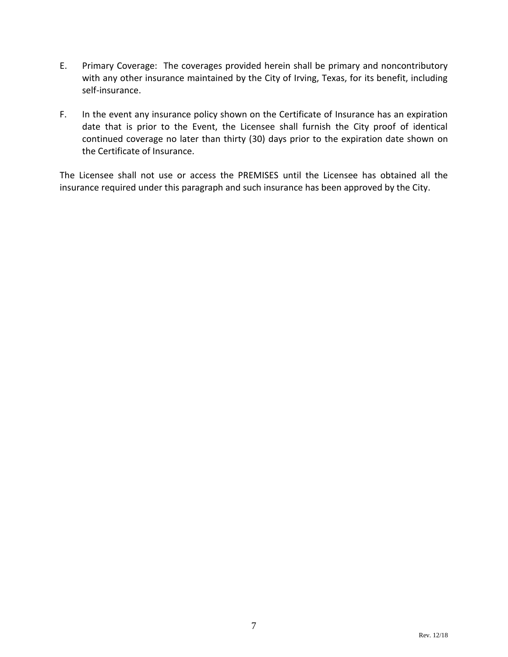- E. Primary Coverage: The coverages provided herein shall be primary and noncontributory with any other insurance maintained by the City of Irving, Texas, for its benefit, including self-insurance.
- F. In the event any insurance policy shown on the Certificate of Insurance has an expiration date that is prior to the Event, the Licensee shall furnish the City proof of identical continued coverage no later than thirty (30) days prior to the expiration date shown on the Certificate of Insurance.

The Licensee shall not use or access the PREMISES until the Licensee has obtained all the insurance required under this paragraph and such insurance has been approved by the City.